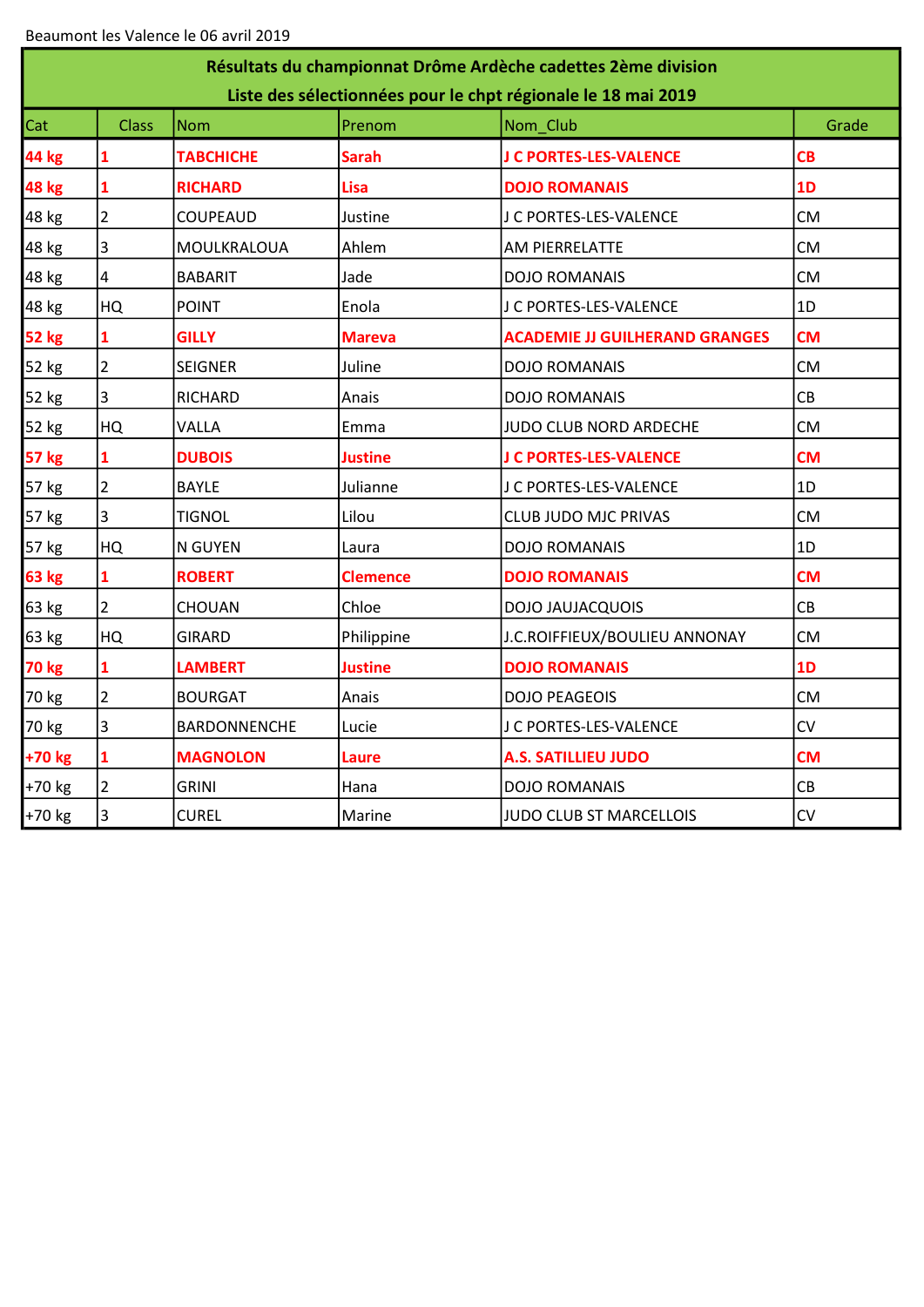| Résultats du championnat Drôme Ardèche cadettes 2ème division<br>Liste des sélectionnées pour le chpt régionale le 18 mai 2019 |                |                     |                |                                       |           |  |  |  |  |
|--------------------------------------------------------------------------------------------------------------------------------|----------------|---------------------|----------------|---------------------------------------|-----------|--|--|--|--|
| Cat                                                                                                                            | <b>Class</b>   | <b>Nom</b>          | Prenom         | Nom Club                              | Grade     |  |  |  |  |
| 44 kg                                                                                                                          | 1              | <b>TABCHICHE</b>    | Sarah          | J C PORTES-LES-VALENCE                | CB        |  |  |  |  |
| 48 kg                                                                                                                          | 1              | <b>RICHARD</b>      | Lisa           | <b>DOJO ROMANAIS</b>                  | 1D        |  |  |  |  |
| 48 kg                                                                                                                          | $\overline{2}$ | <b>COUPEAUD</b>     | Justine        | J C PORTES-LES-VALENCE                | <b>CM</b> |  |  |  |  |
| 48 kg                                                                                                                          | 3              | MOULKRALOUA         | Ahlem          | AM PIERRELATTE                        | <b>CM</b> |  |  |  |  |
| 48 kg                                                                                                                          | 4              | <b>BABARIT</b>      | Jade           | <b>DOJO ROMANAIS</b>                  | <b>CM</b> |  |  |  |  |
| 48 kg                                                                                                                          | HQ             | <b>POINT</b>        | Enola          | J C PORTES-LES-VALENCE                | 1D        |  |  |  |  |
| <b>52 kg</b>                                                                                                                   | 1              | <b>GILLY</b>        | <b>Mareva</b>  | <b>ACADEMIE JJ GUILHERAND GRANGES</b> | <b>CM</b> |  |  |  |  |
| 52 kg                                                                                                                          | $\overline{2}$ | <b>SEIGNER</b>      | Juline         | <b>DOJO ROMANAIS</b>                  | <b>CM</b> |  |  |  |  |
| 52 kg                                                                                                                          | 3              | <b>RICHARD</b>      | Anais          | <b>DOJO ROMANAIS</b>                  | CB        |  |  |  |  |
| 52 kg                                                                                                                          | HQ             | VALLA               | Emma           | JUDO CLUB NORD ARDECHE                | <b>CM</b> |  |  |  |  |
| <b>57 kg</b>                                                                                                                   | 1              | <b>DUBOIS</b>       | Justine        | J C PORTES-LES-VALENCE                | <b>CM</b> |  |  |  |  |
| 57 kg                                                                                                                          | $\overline{2}$ | <b>BAYLE</b>        | Julianne       | J C PORTES-LES-VALENCE                | 1D        |  |  |  |  |
| 57 kg                                                                                                                          | 3              | <b>TIGNOL</b>       | Lilou          | <b>CLUB JUDO MJC PRIVAS</b>           | <b>CM</b> |  |  |  |  |
| 57 kg                                                                                                                          | HQ             | N GUYEN             | Laura          | <b>DOJO ROMANAIS</b>                  | 1D        |  |  |  |  |
| 63 kg                                                                                                                          | $\mathbf{1}$   | <b>ROBERT</b>       | Clemence       | <b>DOJO ROMANAIS</b>                  | <b>CM</b> |  |  |  |  |
| 63 kg                                                                                                                          | $\overline{2}$ | CHOUAN              | Chloe          | <b>DOJO JAUJACQUOIS</b>               | CB        |  |  |  |  |
| 63 kg                                                                                                                          | HQ             | <b>GIRARD</b>       | Philippine     | J.C.ROIFFIEUX/BOULIEU ANNONAY         | <b>CM</b> |  |  |  |  |
| <b>70 kg</b>                                                                                                                   | 1              | <b>LAMBERT</b>      | <b>Justine</b> | <b>DOJO ROMANAIS</b>                  | 1D        |  |  |  |  |
| 70 kg                                                                                                                          | $\overline{2}$ | <b>BOURGAT</b>      | Anais          | <b>DOJO PEAGEOIS</b>                  | <b>CM</b> |  |  |  |  |
| 70 kg                                                                                                                          | 3              | <b>BARDONNENCHE</b> | Lucie          | J C PORTES-LES-VALENCE                | <b>CV</b> |  |  |  |  |
| +70 kg                                                                                                                         | $\mathbf{1}$   | <b>MAGNOLON</b>     | Laure          | <b>A.S. SATILLIEU JUDO</b>            | <b>CM</b> |  |  |  |  |
| +70 kg                                                                                                                         | $\overline{2}$ | <b>GRINI</b>        | Hana           | <b>DOJO ROMANAIS</b>                  | CB        |  |  |  |  |
| +70 kg                                                                                                                         | 3              | <b>CUREL</b>        | Marine         | JUDO CLUB ST MARCELLOIS               | <b>CV</b> |  |  |  |  |